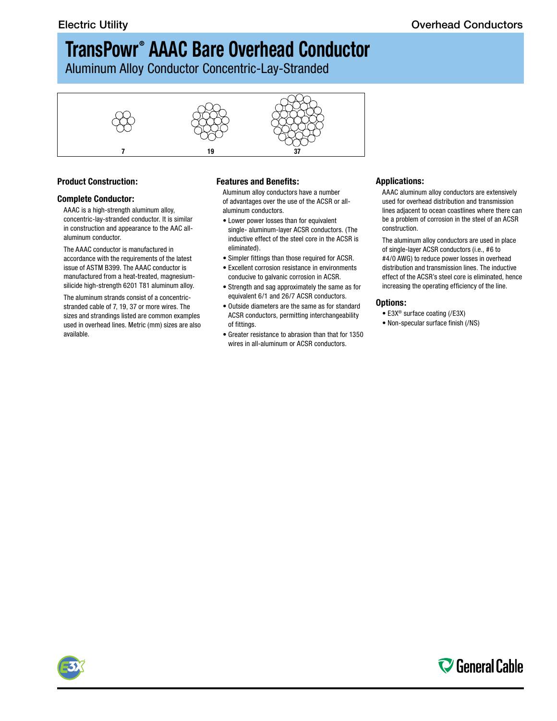# **TransPowr ® AAAC Bare Overhead Conductor**

Aluminum Alloy Conductor Concentric-Lay-Stranded



### **Product Construction:**

#### **Complete Conductor:**

AAAC is a high-strength aluminum alloy, concentric-lay-stranded conductor. It is similar in construction and appearance to the AAC allaluminum conductor.

The AAAC conductor is manufactured in accordance with the requirements of the latest issue of ASTM B399. The AAAC conductor is manufactured from a heat-treated, magnesiumsilicide high-strength 6201 T81 aluminum alloy.

The aluminum strands consist of a concentricstranded cable of 7, 19, 37 or more wires. The sizes and strandings listed are common examples used in overhead lines. Metric (mm) sizes are also available.

### **Features and Benefits:**

Aluminum alloy conductors have a number of advantages over the use of the ACSR or allaluminum conductors.

- Lower power losses than for equivalent single- aluminum-layer ACSR conductors. (The inductive effect of the steel core in the ACSR is eliminated).
- Simpler fittings than those required for ACSR.
- Excellent corrosion resistance in environments conducive to galvanic corrosion in ACSR.
- Strength and sag approximately the same as for equivalent 6/1 and 26/7 ACSR conductors.
- Outside diameters are the same as for standard ACSR conductors, permitting interchangeability of fittings.
- Greater resistance to abrasion than that for 1350 wires in all-aluminum or ACSR conductors.

#### **Applications:**

AAAC aluminum alloy conductors are extensively used for overhead distribution and transmission lines adjacent to ocean coastlines where there can be a problem of corrosion in the steel of an ACSR construction.

The aluminum alloy conductors are used in place of single-layer ACSR conductors (i.e., #6 to #4/0 AWG) to reduce power losses in overhead distribution and transmission lines. The inductive effect of the ACSR's steel core is eliminated, hence increasing the operating efficiency of the line.

#### **Options:**

- E3X® surface coating (/E3X)
- Non-specular surface finish (/NS)



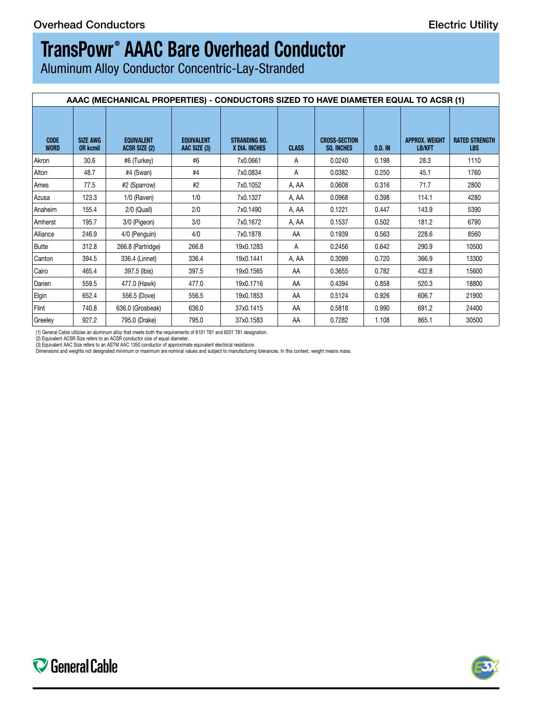# **TransPowr ® AAAC Bare Overhead Conductor**

Aluminum Alloy Conductor Concentric-Lay-Stranded

|                            | AAAC (MECHANICAL PROPERTIES) - CONDUCTORS SIZED TO HAVE DIAMETER EQUAL TO ACSR (1) |                                           |                                   |                                       |                |                                    |         |                                 |                              |  |
|----------------------------|------------------------------------------------------------------------------------|-------------------------------------------|-----------------------------------|---------------------------------------|----------------|------------------------------------|---------|---------------------------------|------------------------------|--|
| <b>CODE</b><br><b>WORD</b> | <b>SIZE AWG</b><br><b>OR kcmil</b>                                                 | <b>EQUIVALENT</b><br><b>ACSR SIZE (2)</b> | <b>EQUIVALENT</b><br>AAC SIZE (3) | <b>STRANDING NO.</b><br>X DIA. INCHES | <b>CLASS</b>   | <b>CROSS-SECTION</b><br>SQ. INCHES | 0.D. IN | <b>APPROX. WEIGHT</b><br>LB/KFT | <b>RATED STRENGTH</b><br>LBS |  |
| Akron                      | 30.6                                                                               | #6 (Turkey)                               | #6                                | 7x0.0661                              | $\mathsf{A}$   | 0.0240                             | 0.198   | 28.3                            | 1110                         |  |
| Alton                      | 48.7                                                                               | #4 (Swan)                                 | #4                                | 7x0.0834                              | $\overline{A}$ | 0.0382                             | 0.250   | 45.1                            | 1760                         |  |
| Ames                       | 77.5                                                                               | #2 (Sparrow)                              | #2                                | 7x0.1052                              | A, AA          | 0.0608                             | 0.316   | 71.7                            | 2800                         |  |
| Azusa                      | 123.3                                                                              | 1/0 (Raven)                               | 1/0                               | 7x0.1327                              | A, AA          | 0.0968                             | 0.398   | 114.1                           | 4280                         |  |
| Anaheim                    | 155.4                                                                              | 2/0 (Quail)                               | 2/0                               | 7x0.1490                              | A, AA          | 0.1221                             | 0.447   | 143.9                           | 5390                         |  |
| Amherst                    | 195.7                                                                              | 3/0 (Pigeon)                              | 3/0                               | 7x0.1672                              | A, AA          | 0.1537                             | 0.502   | 181.2                           | 6790                         |  |
| Alliance                   | 246.9                                                                              | 4/0 (Penguin)                             | 4/0                               | 7x0.1878                              | AA             | 0.1939                             | 0.563   | 228.6                           | 8560                         |  |
| Butte                      | 312.8                                                                              | 266.8 (Partridge)                         | 266.8                             | 19x0.1283                             |                | 0.2456                             | 0.642   | 290.9                           | 10500                        |  |
| Canton                     | 394.5                                                                              | 336.4 (Linnet)                            | 336.4                             | 19x0.1441                             | A, AA          | 0.3099                             | 0.720   | 366.9                           | 13300                        |  |
| Cairo                      | 465.4                                                                              | 397.5 (Ibis)                              | 397.5                             | 19x0.1565                             | AA             | 0.3655                             | 0.782   | 432.8                           | 15600                        |  |
| Darien                     | 559.5                                                                              | 477.0 (Hawk)                              | 477.0                             | 19x0.1716                             | AA             | 0.4394                             | 0.858   | 520.3                           | 18800                        |  |
| Elgin                      | 652.4                                                                              | 556.5 (Dove)                              | 556.5                             | 19x0.1853                             | AA             | 0.5124                             | 0.926   | 606.7                           | 21900                        |  |
| Flint                      | 740.8                                                                              | 636.0 (Grosbeak)                          | 636.0                             | 37x0.1415                             | AA             | 0.5818                             | 0.990   | 691.2                           | 24400                        |  |
| Greeley                    | 927.2                                                                              | 795.0 (Drake)                             | 795.0                             | 37x0.1583                             | AA             | 0.7282                             | 1.108   | 865.1                           | 30500                        |  |

(1) General Cable utilizies an aluminum alloy that meets both the requirements of 6101 T81 and 6201 T81 designation.

(2) Equivalent ACSR Size refers to an ACSR conductor size of equal diameter.<br>(3) Equivalent AAC Size refers to an ASTM AAC 1350 conductor of approximate equivalent electrical resistance.<br>Dimensions and weights not designat